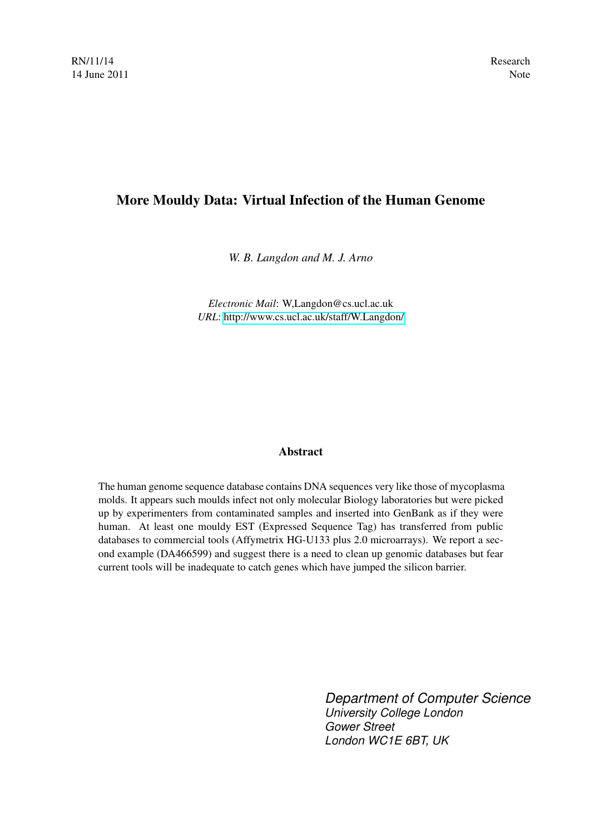# More Mouldy Data: Virtual Infection of the Human Genome

*W. B. Langdon and M. J. Arno*

*Electronic Mail*: W,Langdon@cs.ucl.ac.uk *URL*:<http://www.cs.ucl.ac.uk/staff/W.Langdon/>

## Abstract

The human genome sequence database contains DNA sequences very like those of mycoplasma molds. It appears such moulds infect not only molecular Biology laboratories but were picked up by experimenters from contaminated samples and inserted into GenBank as if they were human. At least one mouldy EST (Expressed Sequence Tag) has transferred from public databases to commercial tools (Affymetrix HG-U133 plus 2.0 microarrays). We report a second example (DA466599) and suggest there is a need to clean up genomic databases but fear current tools will be inadequate to catch genes which have jumped the silicon barrier.

> *Department of Computer Science University College London Gower Street London WC1E 6BT, UK*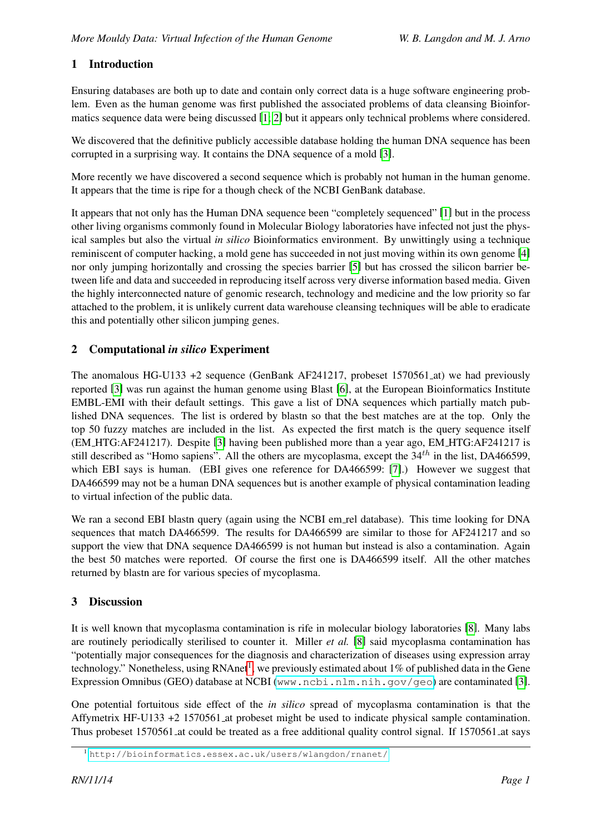## 1 Introduction

Ensuring databases are both up to date and contain only correct data is a huge software engineering problem. Even as the human genome was first published the associated problems of data cleansing Bioinformatics sequence data were being discussed [\[1;](#page-2-0) [2\]](#page-2-1) but it appears only technical problems where considered.

We discovered that the definitive publicly accessible database holding the human DNA sequence has been corrupted in a surprising way. It contains the DNA sequence of a mold [\[3\]](#page-2-2).

More recently we have discovered a second sequence which is probably not human in the human genome. It appears that the time is ripe for a though check of the NCBI GenBank database.

It appears that not only has the Human DNA sequence been "completely sequenced" [\[1\]](#page-2-0) but in the process other living organisms commonly found in Molecular Biology laboratories have infected not just the physical samples but also the virtual *in silico* Bioinformatics environment. By unwittingly using a technique reminiscent of computer hacking, a mold gene has succeeded in not just moving within its own genome [\[4\]](#page-2-3) nor only jumping horizontally and crossing the species barrier [\[5\]](#page-2-4) but has crossed the silicon barrier between life and data and succeeded in reproducing itself across very diverse information based media. Given the highly interconnected nature of genomic research, technology and medicine and the low priority so far attached to the problem, it is unlikely current data warehouse cleansing techniques will be able to eradicate this and potentially other silicon jumping genes.

## 2 Computational *in silico* Experiment

The anomalous HG-U133 +2 sequence (GenBank AF241217, probeset 1570561 at) we had previously reported [\[3\]](#page-2-2) was run against the human genome using Blast [\[6\]](#page-2-5), at the European Bioinformatics Institute EMBL-EMI with their default settings. This gave a list of DNA sequences which partially match published DNA sequences. The list is ordered by blastn so that the best matches are at the top. Only the top 50 fuzzy matches are included in the list. As expected the first match is the query sequence itself (EM HTG:AF241217). Despite [\[3\]](#page-2-2) having been published more than a year ago, EM HTG:AF241217 is still described as "Homo sapiens". All the others are mycoplasma, except the  $34<sup>th</sup>$  in the list, DA466599, which EBI says is human. (EBI gives one reference for DA466599: [\[7\]](#page-2-6).) However we suggest that DA466599 may not be a human DNA sequences but is another example of physical contamination leading to virtual infection of the public data.

We ran a second EBI blastn query (again using the NCBI em rel database). This time looking for DNA sequences that match DA466599. The results for DA466599 are similar to those for AF241217 and so support the view that DNA sequence DA466599 is not human but instead is also a contamination. Again the best 50 matches were reported. Of course the first one is DA466599 itself. All the other matches returned by blastn are for various species of mycoplasma.

## 3 Discussion

It is well known that mycoplasma contamination is rife in molecular biology laboratories [\[8\]](#page-2-7). Many labs are routinely periodically sterilised to counter it. Miller *et al.* [\[8\]](#page-2-7) said mycoplasma contamination has "potentially major consequences for the diagnosis and characterization of diseases using expression array technology." Nonetheless, using RNAnet<sup>[1](#page-1-0)</sup>, we previously estimated about 1% of published data in the Gene Expression Omnibus (GEO) database at NCBI (<www.ncbi.nlm.nih.gov/geo>) are contaminated [\[3\]](#page-2-2).

One potential fortuitous side effect of the *in silico* spread of mycoplasma contamination is that the Affymetrix HF-U133 +2 1570561 at probeset might be used to indicate physical sample contamination. Thus probeset 1570561 at could be treated as a free additional quality control signal. If 1570561 at says

<span id="page-1-0"></span><sup>1</sup> <http://bioinformatics.essex.ac.uk/users/wlangdon/rnanet/>